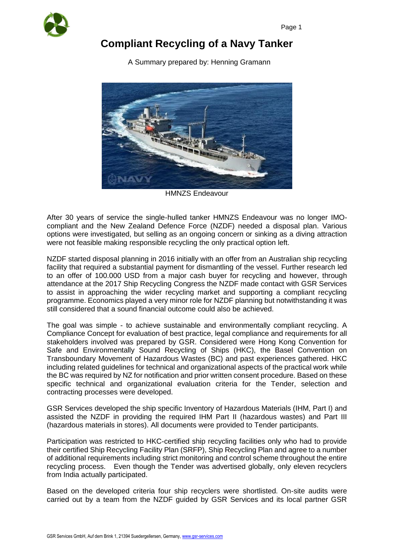

## **Compliant Recycling of a Navy Tanker**

A Summary prepared by: Henning Gramann



HMNZS Endeavour

After 30 years of service the single-hulled tanker HMNZS Endeavour was no longer IMOcompliant and the New Zealand Defence Force (NZDF) needed a disposal plan. Various options were investigated, but selling as an ongoing concern or sinking as a diving attraction were not feasible making responsible recycling the only practical option left.

NZDF started disposal planning in 2016 initially with an offer from an Australian ship recycling facility that required a substantial payment for dismantling of the vessel. Further research led to an offer of 100.000 USD from a major cash buyer for recycling and however, through attendance at the 2017 Ship Recycling Congress the NZDF made contact with GSR Services to assist in approaching the wider recycling market and supporting a compliant recycling programme. Economics played a very minor role for NZDF planning but notwithstanding it was still considered that a sound financial outcome could also be achieved.

The goal was simple - to achieve sustainable and environmentally compliant recycling. A Compliance Concept for evaluation of best practice, legal compliance and requirements for all stakeholders involved was prepared by GSR. Considered were Hong Kong Convention for Safe and Environmentally Sound Recycling of Ships (HKC), the Basel Convention on Transboundary Movement of Hazardous Wastes (BC) and past experiences gathered. HKC including related guidelines for technical and organizational aspects of the practical work while the BC was required by NZ for notification and prior written consent procedure. Based on these specific technical and organizational evaluation criteria for the Tender, selection and contracting processes were developed.

GSR Services developed the ship specific Inventory of Hazardous Materials (IHM, Part I) and assisted the NZDF in providing the required IHM Part II (hazardous wastes) and Part III (hazardous materials in stores). All documents were provided to Tender participants.

Participation was restricted to HKC-certified ship recycling facilities only who had to provide their certified Ship Recycling Facility Plan (SRFP), Ship Recycling Plan and agree to a number of additional requirements including strict monitoring and control scheme throughout the entire recycling process. Even though the Tender was advertised globally, only eleven recyclers from India actually participated.

Based on the developed criteria four ship recyclers were shortlisted. On-site audits were carried out by a team from the NZDF guided by GSR Services and its local partner GSR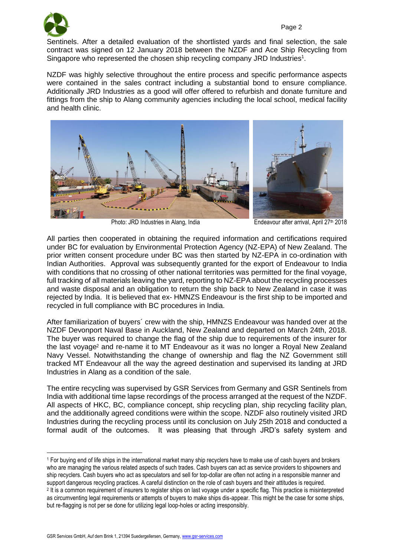<u>.</u>

Sentinels. After a detailed evaluation of the shortlisted yards and final selection, the sale contract was signed on 12 January 2018 between the NZDF and Ace Ship Recycling from Singapore who represented the chosen ship recycling company JRD Industries<sup>1</sup>.

NZDF was highly selective throughout the entire process and specific performance aspects were contained in the sales contract including a substantial bond to ensure compliance. Additionally JRD Industries as a good will offer offered to refurbish and donate furniture and fittings from the ship to Alang community agencies including the local school, medical facility and health clinic.



Photo: JRD Industries in Alang, India Endeavour after arrival, April 27<sup>th</sup> 2018

All parties then cooperated in obtaining the required information and certifications required under BC for evaluation by Environmental Protection Agency (NZ-EPA) of New Zealand. The prior written consent procedure under BC was then started by NZ-EPA in co-ordination with Indian Authorities. Approval was subsequently granted for the export of Endeavour to India with conditions that no crossing of other national territories was permitted for the final voyage, full tracking of all materials leaving the yard, reporting to NZ-EPA about the recycling processes and waste disposal and an obligation to return the ship back to New Zealand in case it was rejected by India. It is believed that ex- HMNZS Endeavour is the first ship to be imported and recycled in full compliance with BC procedures in India.

After familiarization of buyers´ crew with the ship, HMNZS Endeavour was handed over at the NZDF Devonport Naval Base in Auckland, New Zealand and departed on March 24th, 2018. The buyer was required to change the flag of the ship due to requirements of the insurer for the last voyage<sup>2</sup> and re-name it to MT Endeavour as it was no longer a Royal New Zealand Navy Vessel. Notwithstanding the change of ownership and flag the NZ Government still tracked MT Endeavour all the way the agreed destination and supervised its landing at JRD Industries in Alang as a condition of the sale.

The entire recycling was supervised by GSR Services from Germany and GSR Sentinels from India with additional time lapse recordings of the process arranged at the request of the NZDF. All aspects of HKC, BC, compliance concept, ship recycling plan, ship recycling facility plan, and the additionally agreed conditions were within the scope. NZDF also routinely visited JRD Industries during the recycling process until its conclusion on July 25th 2018 and conducted a formal audit of the outcomes. It was pleasing that through JRD's safety system and

<sup>1</sup> For buying end of life ships in the international market many ship recyclers have to make use of cash buyers and brokers who are managing the various related aspects of such trades. Cash buyers can act as service providers to shipowners and ship recyclers. Cash buyers who act as speculators and sell for top-dollar are often not acting in a responsible manner and support dangerous recycling practices. A careful distinction on the role of cash buyers and their attitudes is required. 2 It is a common requirement of insurers to register ships on last voyage under a specific flag. This practice is misinterpreted as circumventing legal requirements or attempts of buyers to make ships dis-appear. This might be the case for some ships, but re-flagging is not per se done for utilizing legal loop-holes or acting irresponsibly.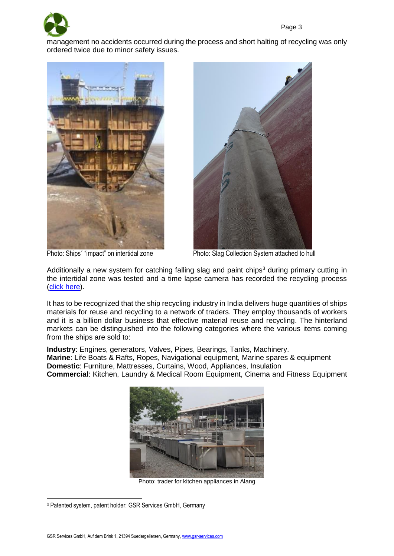

management no accidents occurred during the process and short halting of recycling was only ordered twice due to minor safety issues.





Photo: Ships' "impact" on intertidal zone Photo: Slag Collection System attached to hull

Additionally a new system for catching falling slag and paint chips<sup>3</sup> during primary cutting in the intertidal zone was tested and a time lapse camera has recorded the recycling process [\(click here\)](https://youtu.be/tC9s_FMbzFg).

It has to be recognized that the ship recycling industry in India delivers huge quantities of ships materials for reuse and recycling to a network of traders. They employ thousands of workers and it is a billion dollar business that effective material reuse and recycling. The hinterland markets can be distinguished into the following categories where the various items coming from the ships are sold to:

**Industry**: Engines, generators, Valves, Pipes, Bearings, Tanks, Machinery. **Marine**: Life Boats & Rafts, Ropes, Navigational equipment, Marine spares & equipment **Domestic**: Furniture, Mattresses, Curtains, Wood, Appliances, Insulation **Commercial**: Kitchen, Laundry & Medical Room Equipment, Cinema and Fitness Equipment



Photo: trader for kitchen appliances in Alang

<sup>&</sup>lt;u>.</u> <sup>3</sup> Patented system, patent holder: GSR Services GmbH, Germany